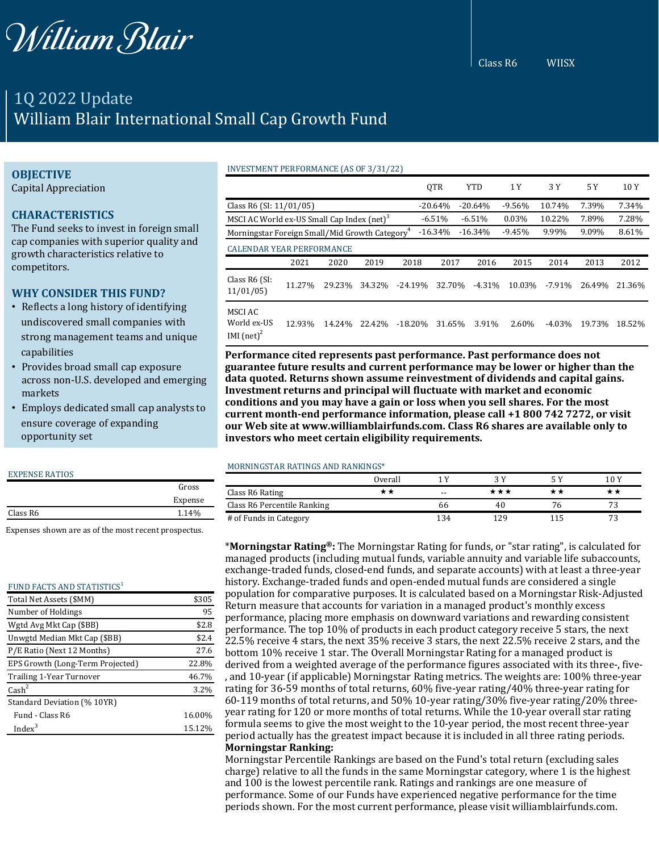

Class R6 WIISX

# 1Q 2022 Update William Blair International Small Cap Growth Fund

#### **OBJECTIVE**

Capital Appreciation

## **CHARACTERISTICS**

The Fund seeks to invest in foreign small cap companies with superior quality and growth characteristics relative to competitors.

### **WHY CONSIDER THIS FUND?**

- Reflects a long history of identifying undiscovered small companies with strong management teams and unique capabilities
- Provides broad small cap exposure across non-U.S. developed and emerging markets
- Employs dedicated small cap analysts to ensure coverage of expanding opportunity set

#### EXPENSE RATIOS

|          | Gross   |
|----------|---------|
|          | Expense |
| Class R6 | 1.14%   |
|          |         |

Expenses shown are as of the most recent prospectus.

#### FUND FACTS AND STATISTICS<sup>1</sup>

| Total Net Assets (\$MM)          | \$305  |
|----------------------------------|--------|
| Number of Holdings               | 95     |
| Wgtd Avg Mkt Cap (\$BB)          | \$2.8  |
| Unwgtd Median Mkt Cap (\$BB)     | \$2.4  |
| P/E Ratio (Next 12 Months)       | 27.6   |
| EPS Growth (Long-Term Projected) | 22.8%  |
| Trailing 1-Year Turnover         | 46.7%  |
| $\text{Cash}^2$                  | 3.2%   |
| Standard Deviation (% 10YR)      |        |
| Fund - Class R6                  | 16.00% |
| Index $3$                        | 15.12% |

|                                                            |        |        |        |           | <b>OTR</b> | <b>YTD</b> | 1 Y      | 3 Y      | 5 Y    | 10 Y   |
|------------------------------------------------------------|--------|--------|--------|-----------|------------|------------|----------|----------|--------|--------|
| Class R6 (SI: 11/01/05)                                    |        |        |        |           | $-20.64%$  | $-20.64%$  | $-9.56%$ | 10.74%   | 7.39%  | 7.34%  |
| MSCI AC World ex-US Small Cap Index (net) <sup>3</sup>     |        |        |        |           | $-6.51%$   | $-6.51%$   | 0.03%    | 10.22%   | 7.89%  | 7.28%  |
| Morningstar Foreign Small/Mid Growth Category <sup>4</sup> |        |        |        |           | $-16.34%$  | $-16.34%$  | $-9.45%$ | 9.99%    | 9.09%  | 8.61%  |
| <b>CALENDAR YEAR PERFORMANCE</b>                           |        |        |        |           |            |            |          |          |        |        |
|                                                            | 2021   | 2020   | 2019   | 2018      | 2017       | 2016       | 2015     | 2014     | 2013   | 2012   |
| Class R6 (SI:<br>11/01/05                                  | 11.27% | 29.23% | 34.32% | $-24.19%$ | 32.70%     | $-4.31%$   | 10.03%   | $-7.91%$ | 26.49% | 21.36% |
| MSCI AC<br>World ex-US<br>IMI $(net)^2$                    | 12.93% | 14.24% | 22.42% | $-18.20%$ | 31.65%     | 3.91%      | 2.60%    | $-4.03%$ | 19.73% | 18.52% |

**Performance cited represents past performance. Past performance does not guarantee future results and current performance may be lower or higher than the data quoted. Returns shown assume reinvestment of dividends and capital gains. Investment returns and principal will fluctuate with market and economic conditions and you may have a gain or loss when you sell shares. For the most current month-end performance information, please call +1 800 742 7272, or visit our Web site at www.williamblairfunds.com. Class R6 shares are available only to investors who meet certain eligibility requirements.**

#### MORNINGSTAR RATINGS AND RANKINGS\*

INVESTMENT PERFORMANCE (AS OF 3/31/22)

|                             | Overall |       |     |    | 10Y |
|-----------------------------|---------|-------|-----|----|-----|
| Class R6 Rating             |         | $- -$ | *** |    |     |
| Class R6 Percentile Ranking |         | hh    | 40  | 76 |     |
| # of Funds in Category      |         | 34    | 29  |    |     |

\***Morningstar Rating®:** The Morningstar Rating for funds, or "star rating", is calculated for managed products (including mutual funds, variable annuity and variable life subaccounts, exchange-traded funds, closed-end funds, and separate accounts) with at least a three-year history. Exchange-traded funds and open-ended mutual funds are considered a single population for comparative purposes. It is calculated based on a Morningstar Risk-Adjusted Return measure that accounts for variation in a managed product's monthly excess performance, placing more emphasis on downward variations and rewarding consistent performance. The top 10% of products in each product category receive 5 stars, the next 22.5% receive 4 stars, the next 35% receive 3 stars, the next 22.5% receive 2 stars, and the bottom 10% receive 1 star. The Overall Morningstar Rating for a managed product is derived from a weighted average of the performance figures associated with its three-, five- , and 10-year (if applicable) Morningstar Rating metrics. The weights are: 100% three-year rating for 36-59 months of total returns, 60% five-year rating/40% three-year rating for 60-119 months of total returns, and 50% 10-year rating/30% five-year rating/20% threeyear rating for 120 or more months of total returns. While the 10-year overall star rating formula seems to give the most weight to the 10-year period, the most recent three-year period actually has the greatest impact because it is included in all three rating periods. **Morningstar Ranking:**

Morningstar Percentile Rankings are based on the Fund's total return (excluding sales charge) relative to all the funds in the same Morningstar category, where 1 is the highest and 100 is the lowest percentile rank. Ratings and rankings are one measure of performance. Some of our Funds have experienced negative performance for the time periods shown. For the most current performance, please visit williamblairfunds.com.